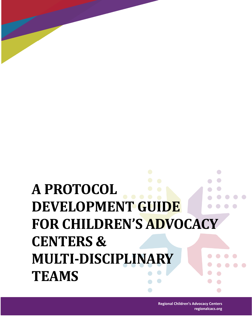# **A PROTOCOL DEVELOPMENT GUIDE FOR CHILDREN'S ADVOCACY CENTERS & MULTI-DISCIPLINARY TEAMS**

**Regional Children's Advocacy Centers regionalcacs.org**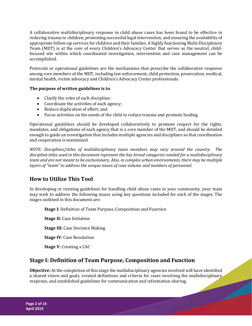A collaborative multidisciplinary response in child abuse cases has been found to be effective in reducing trauma to children, promoting successful legal intervention, and ensuring the availability of appropriate follow-up services for children and their families. A highly functioning Multi-Disciplinary Team (MDT) is at the core of every Children's Advocacy Center that serves as the neutral, childfocused site within which coordinated investigation, intervention and case management can be accomplished.

Protocols or operational guidelines are the mechanisms that prescribe the collaborative response among core members of the MDT, including law enforcement, child protection, prosecution, medical, mental health, victim advocacy and Children's Advocacy Center professionals.

## **The purpose of written guidelines is to**:

- Clarify the roles of each discipline;
- Coordinate the activities of each agency;
- Reduce duplication of effort; and
- Focus activities on the needs of the child to reduce trauma and promote healing.

Operational guidelines should be developed collaboratively to promote respect for the rights, mandates, and obligations of each agency that is a core member of the MDT, and should be detailed enough to guide an investigation that includes multiple agencies and disciplines so that coordination and cooperation is maximized.

*NOTE: Disciplines/titles of multidisciplinary team members may vary around the country. The discipline titles used in this document represent the key broad categories needed for a multidisciplinary team and are not meant to be exclusionary. Also, in complex urban environments, there may be multiple layers of "team" to address the unique issues of case volume and numbers of personnel.*

# **How to Utilize This Tool**

In developing or revising guidelines for handling child abuse cases in your community, your team may wish to address the following issues using key questions included for each of the stages. The stages outlined in this document are:

**Stage I:** Definition of Team Purpose, Composition and Function

**Stage II:** Case Initiation

**Stage III:** Case Decision Making

**Stage IV:** Case Resolution

**Stage V:** Creating a CAC

# **Stage I: Definition of Team Purpose, Composition and Function**

**Objective:** At the completion of this stage the multidisciplinary agencies involved will have identified a shared vision and goals, created definitions and criteria for cases involving the multidisciplinary response, and established guidelines for communication and information sharing.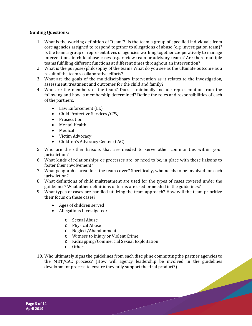#### **Guiding Questions:**

- 1. What is the working definition of "team"? Is the team a group of specified individuals from core agencies assigned to respond together to allegations of abuse (e.g. investigation team)? Is the team a group of representatives of agencies working together cooperatively to manage interventions in child abuse cases (e.g. review team or advisory team)? Are there multiple teams fulfilling different functions at different times throughout an intervention?
- 2. What is the purpose/philosophy of the team? What do you see as the ultimate outcome as a result of the team's collaborative efforts?
- 3. What are the goals of the multidisciplinary intervention as it relates to the investigation, assessment, treatment and outcomes for the child and family?
- 4. Who are the members of the team? Does it minimally include representation from the following and how is membership determined? Define the roles and responsibilities of each of the partners.
	- Law Enforcement (LE)
	- Child Protective Services *(CPS)*
	- Prosecution
	- Mental Health
	- Medical
	- Victim Advocacy<br>• Children's Advoca
	- Children's Advocacy Center (CAC)
- 5. Who are the other liaisons that are needed to serve other communities within your jurisdiction?
- 6. What kinds of relationships or processes are, or need to be, in place with these liaisons to foster their involvement?
- 7. What geographic area does the team cover? Specifically, who needs to be involved for each jurisdiction?
- 8. What definitions of child maltreatment are used for the types of cases covered under the guidelines? What other definitions of terms are used or needed in the guidelines?
- 9. What types of cases are handled utilizing the team approach? How will the team prioritize their focus on these cases?
	- Ages of children served
	- Allegations Investigated:
		- o Sexual Abuse
		- o Physical Abuse
		- o Neglect/Abandonment
		- o Witness to Injury or Violent Crime
		- o Kidnapping/Commercial Sexual Exploitation
		- o Other
- 10. Who ultimately signs the guidelines from each discipline committing the partner agencies to the MDT/CAC process? (How will agency leadership be involved in the guidelines development process to ensure they fully support the final product?)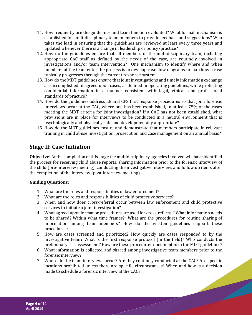- 11. How frequently are the guidelines and team function evaluated? What formal mechanism is established for multidisciplinary team members to provide feedback and suggestions? Who takes the lead in ensuring that the guidelines are reviewed at least every three years and updated whenever there is a change in leadership or policy/practice?
- 12. How do the guidelines ensure that all members of the multidisciplinary team, including appropriate CAC staff as defined by the needs of the case, are routinely involved in investigations and/or team intervention? One mechanism to identify where and when members of the team enter the process is to develop case flow diagrams to map how a case typically progresses through the current response system.
- 13. How do the MDT guidelines ensure that joint investigations and timely information exchange are accomplished in agreed upon cases, as defined in operating guidelines, while protecting confidential information in a manner consistent with legal, ethical, and professional standards of practice?
- 14. How do the guidelines address LE and CPS first response procedures so that joint forensic interviews occur at the CAC, where one has been established, in at least 75% of the cases meeting the MDT criteria for joint investigation? If a CAC has not been established, what provisions are in place for interviews to be conducted in a neutral environment that is psychologically and physically safe and developmentally appropriate?
- 15. How do the MDT guidelines ensure and demonstrate that members participate in relevant training in child abuse investigation, prosecution and case management on an annual basis?

# **Stage II: Case Initiation**

**Objective:** At the completion of this stage the multidisciplinary agencies involved will have identified the process for receiving child abuse reports, sharing information prior to the forensic interview of the child (pre-interview meeting), conducting the investigative interview, and follow up items after the completion of the interview (post-interview meeting).

## **Guiding Questions:**

- 1. What are the roles and responsibilities of law enforcement?
- 2. What are the roles and responsibilities of child protective services?
- 3. When and how does cross-referral occur between law enforcement and child protective services to initiate a joint investigation?
- 4. What agreed upon format or procedures are used for cross-referral? What information needs to be shared? Within what time frames? What are the procedures for routine sharing of information among team members? How do the written guidelines support these procedures?
- 5. How are cases screened and prioritized? How quickly are cases responded to by the investigative team? What is the first response protocol (in the field)? Who conducts the preliminary risk assessment? How are these procedures documented in the MDT guidelines?
- 6. What information is collected and shared among investigative team members prior to the forensic interview?
- 7. Where do the team interviews occur? Are they routinely conducted at the CAC? Are specific locations prohibited unless there are specific circumstances? When and how is a decision made to schedule a forensic interview at the CAC?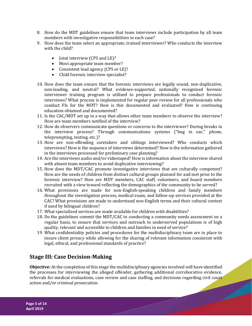- 8. How do the MDT guidelines ensure that team interviews include participation by all team members with investigative responsibilities in each case?
- 9. How does the team select an appropriate, trained interviewer? Who conducts the interview with the child?
	- Joint interview (CPS and LE)?
	- Most appropriate team member?
	- Consistent lead agency (CPS or LE)?
	- Child forensic interview specialist?
- 10. How does the team ensure that the forensic interviews are legally sound, non-duplicative, non-leading, and neutral? What evidence-supported, nationally recognized forensic interviewer training program is utilized to prepare professionals to conduct forensic interviews? What process is implemented for regular peer review for all professionals who conduct FIs for the MDT? How is this documented and evaluated? How is continuing education obtained and documented?
- 11. Is the CAC/MDT set up in a way that allows other team members to observe the interview? How are team members notified of the interview?
- 12. How do observers communicate questions or concerns to the interviewer? During breaks in the interview process? Through communications systems ("bug in ear," phone, teleprompting, texting, etc.)?
- 13. How are non-offending caretakers and siblings interviewed? Who conducts which interviews? How is the sequence of interviews determined? How is the information gathered in the interviews processed for preliminary case planning?
- 14. Are the interviews audio and/or videotaped? How is information about the interview shared with absent team members to avoid duplicative interviewing?
- 15. How does the MDT/CAC promote investigative interviews that are culturally competent? How are the needs of children from distinct cultural groups planned for and met prior to the forensic interview? How are MDT members, CAC staff, volunteers, and board members recruited with a view toward reflecting the demographics of the community to be served?
- 16. What provisions are made for non-English-speaking children and family members throughout the investigation process, medical exam, and follow-up services provided at the CAC? What provisions are made to understand non-English terms and their cultural context if used by bilingual children?
- 17. What specialized services are made available for children with disabilities?
- 18. Do the guidelines commit the MDT/CAC to conducting a community needs assessment on a regular basis, to ensure that services and outreach to underserved populations is of high quality, relevant and accessible to children and families in need of service?
- 19. What confidentiality policies and procedures for the multidisciplinary team are in place to insure client privacy while allowing for the sharing of relevant information consistent with legal, ethical, and professional standards of practice?

# **Stage III: Case Decision-Making**

**Objective:** At the completion of this stage the multidisciplinary agencies involved will have identified the processes for interviewing the alleged offender, gathering additional corroborative evidence, referrals for medical evaluations, case review and case staffing, and decisions regarding civil court action and/or criminal prosecution.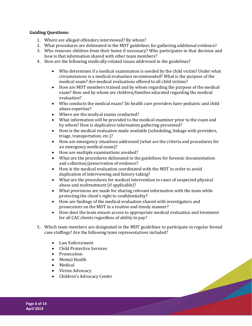#### **Guiding Questions:**

- 1. Where are alleged offenders interviewed? By whom?
- 2. What procedures are delineated in the MDT guidelines for gathering additional evidence?
- 3. Who removes children from their home if necessary? Who participates in that decision and how is that information shared with other team members?
- 4. How are the following medically-related issues addressed in the guidelines?
	- Who determines if a medical examination is needed by the child victim? Under what circumstances is a medical evaluation recommended? What is the purpose of the medical exam? Are medical evaluations offered to all child victims?
	- How are MDT members trained and by whom regarding the purpose of the medical exam? How and by whom are children/families educated regarding the medical evaluation?
	- Who conducts the medical exam? Do health care providers have pediatric and child abuse expertise?
	- Where are the medical exams conducted?<br>• What information will be provided to the r
	- What information will be provided to the medical examiner prior to the exam and by whom? How is duplicative information gathering prevented?
	- How is the medical evaluation made available (scheduling, linkage with providers, triage, transportation, etc.)?
	- How are emergency situations addressed (what are the criteria and procedures for an emergency medical exam)?
	- How are multiple examinations avoided?<br>• What are the procedures delineated in the
	- What are the procedures delineated in the guidelines for forensic documentation and collection/preservation of evidence?
	- How is the medical evaluation coordinated with the MDT in order to avoid duplication of interviewing and history-taking?
	- What are the procedures for medical intervention in cases of suspected physical abuse and maltreatment (if applicable)?
	- What provisions are made for sharing relevant information with the team while protecting the client's right to confidentiality?
	- How are findings of the medical evaluation shared with investigators and prosecutors on the MDT in a routine and timely manner?
	- How does the team ensure access to appropriate medical evaluation and treatment for all CAC clients regardless of ability to pay?
- 5. Which team members are designated in the MDT guidelines to participate in regular formal case staffings? Are the following team representatives included?
	- Law Enforcement
	- Child Protective Services
	- Prosecution
	- Mental Health
	- Medical
	- Victim Advocacy<br>• Children's Advoc
	- Children's Advocacy Center

**Page 6 of 14 April 2019**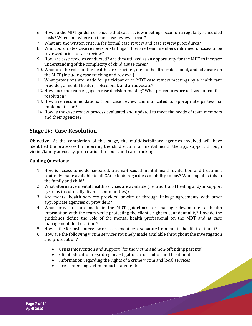- 6. How do the MDT guidelines ensure that case review meetings occur on a regularly scheduled basis? When and where do team case reviews occur?
- 7. What are the written criteria for formal case review and case review procedures?
- 8. Who coordinates case reviews or staffings? How are team members informed of cases to be reviewed prior to case review?
- 9. How are case reviews conducted? Are they utilized as an opportunity for the MDT to increase understanding of the complexity of child abuse cases?
- 10. What are the roles of the health care provider, mental health professional, and advocate on the MDT (including case tracking and review?)
- 11. What provisions are made for participation in MDT case review meetings by a health care provider, a mental health professional, and an advocate?
- 12. How does the team engage in case decision-making? What procedures are utilized for conflict resolution?
- 13. How are recommendations from case review communicated to appropriate parties for implementation?
- 14. How is the case review process evaluated and updated to meet the needs of team members and their agencies?

# **Stage IV: Case Resolution**

**Objective:** At the completion of this stage, the multidisciplinary agencies involved will have identified the processes for referring the child victim for mental health therapy, support through victim/family advocacy, preparation for court, and case tracking.

#### **Guiding Questions:**

- 1. How is access to evidence-based, trauma-focused mental health evaluation and treatment routinely made available to all CAC clients regardless of ability to pay? Who explains this to the family and child?
- 2. What alternative mental health services are available (i.e. traditional healing and/or support systems in culturally diverse communities)?
- 3. Are mental health services provided on-site or through linkage agreements with other appropriate agencies or providers?
- 4. What provisions are made in the MDT guidelines for sharing relevant mental health information with the team while protecting the client's right to confidentiality? How do the guidelines define the role of the mental health professional on the MDT and at case management deliberations?
- 5. How is the forensic interview or assessment kept separate from mental health treatment?
- 6. How are the following victim services routinely made available throughout the investigation and prosecution?
	- Crisis intervention and support (for the victim and non-offending parents)
	- Client education regarding investigation, prosecution and treatment
	- Information regarding the rights of a crime victim and local services
	- Pre-sentencing victim impact statements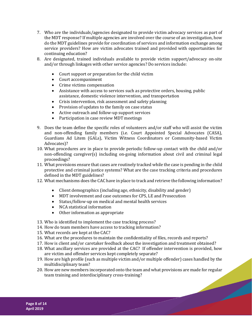- 7. Who are the individuals/agencies designated to provide victim advocacy services as part of the MDT response? If multiple agencies are involved over the course of an investigation, how do the MDT guidelines provide for coordination of services and information exchange among service providers? How are victim advocates trained and provided with opportunities for continuing education?
- 8. Are designated, trained individuals available to provide victim support/advocacy on-site and/or through linkages with other service agencies? Do services include:
	- Court support or preparation for the child victim
	- Court accompaniment
	- Crime victims compensation
	- Assistance with access to services such as protective orders, housing, public assistance, domestic violence intervention, and transportation
	- Crisis intervention, risk assessment and safety planning
	- Provision of updates to the family on case status<br>• Active outreach and follow-up support services
	- Active outreach and follow-up support services
	- Participation in case review MDT meetings
- 9. Does the team define the specific roles of volunteers and/or staff who will assist the victim and non-offending family members (i.e. Court Appointed Special Advocates (CASA), Guardians Ad Litem (GALs), Victim Witness Coordinators or Community-based Victim Advocates)?
- 10. What procedures are in place to provide periodic follow-up contact with the child and/or non-offending caregiver(s) including on-going information about civil and criminal legal proceedings?
- 11. What provisions ensure that cases are routinely tracked while the case is pending in the child protective and criminal justice systems? What are the case tracking criteria and procedures defined in the MDT guidelines?
- 12. What mechanisms does the CAC have in place to track and retrieve the following information?
	- Client demographics (including age, ethnicity, disability and gender)
	- MDT involvement and case outcomes for CPS, LE and Prosecution
	- Status/follow-up on medical and mental health services
	- NCA statistical information
	- Other information as appropriate
- 13. Who is identified to implement the case tracking process?
- 14. How do team members have access to tracking information?
- 15. What records are kept at the CAC?
- 16. What are the procedures to maintain the confidentiality of files, records and reports?
- 17. How is client and/or caretaker feedback about the investigation and treatment obtained?
- 18. What ancillary services are provided at the CAC? If offender intervention is provided, how are victim and offender services kept completely separate?
- 19. How are high profile (such as multiple victim and/or multiple offender) cases handled by the multidisciplinary team?
- 20. How are new members incorporated onto the team and what provisions are made for regular team training and interdisciplinary cross-training?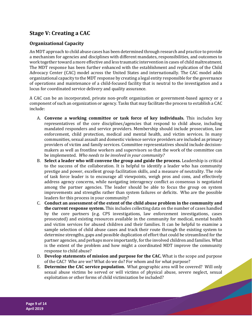# **Stage V: Creating a CAC**

## **Organizational Capacity**

An MDT approach to child abuse cases has been determined through research and practice to provide a mechanism for agencies and disciplines with different mandates, responsibilities, and outcomes to work together toward a more effective and less traumatic intervention in cases of child maltreatment. The MDT response has been further enhanced with the establishment and replication of the Child Advocacy Center (CAC) model across the United States and internationally. The CAC model adds organizational capacity to the MDT response by creating a legal entity responsible for the governance of operations and maintenance of a child-focused facility that is neutral to the investigation and a locus for coordinated service delivery and quality assurance.

A CAC can be an incorporated, private non-profit organization or government-based agency or a component of such an organization or agency. Tasks that may facilitate the process to establish a CAC include:

- A. **Convene a working committee or task force of key individuals.** This includes key representatives of the core disciplines/agencies that respond to child abuse, including mandated responders and service providers. Membership should include prosecution, law enforcement, child protection, medical and mental health, and victim services. In many communities, sexual assault and domestic violence service providers are included as primary providers of victim and family services. Committee representatives should include decisionmakers as well as frontline workers and supervisors so that the work of the committee can be implemented. *Who needs to be involved in your community?*
- B. **Select a leader who will convene the group and guide the process.** Leadership is critical to the success of the collaboration. It is helpful to identify a leader who has community prestige and power, excellent group facilitation skills, and a measure of neutrality. The role of task force leader is to encourage all viewpoints, weigh pros and cons, and effectively address agency concerns, while navigating interagency conflict as consensus is negotiated among the partner agencies. The leader should be able to focus the group on system improvements and strengths rather than system failures or deficits. Who are the possible leaders for this process in your community?
- C. **Conduct an assessment of the extent of the child abuse problem in the community and the current response system.** This includes collecting data on the number of cases handled by the core partners (e.g. CPS investigations, law enforcement investigations, cases prosecuted) and existing resources available in the community for medical, mental health and victim services for abused children and their families. It can be helpful to examine a sample selection of child abuse cases and track their route through the existing system to determine strengths, gaps and possible duplication of effort that could be streamlined for the partner agencies, and perhaps more importantly, for the involved children and families. What is the extent of the problem and how might a coordinated MDT improve the community response to child abuse?
- D. **Develop statements of mission and purpose for the CAC.** What is the scope and purpose of the CAC? Who are we? What do we do? For whom and for what purpose?
- E. **Determine the CAC service population.** What geographic area will be covered? Will only sexual abuse victims be served or will victims of physical abuse, severe neglect, sexual exploitation or other forms of child victimization be included?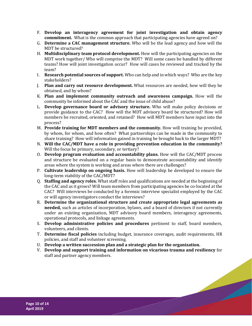- F. **Develop an interagency agreement for joint investigation and obtain agency commitment.** What is the common approach that participating agencies have agreed on?
- G. **Determine a CAC management structure.** Who will be the lead agency and how will the MDT be structured?
- H. **Multidisciplinary team protocol development.** How will the participating agencies on the MDT work together/ Who will comprise the MDT? Will some cases be handled by different teams? How will joint investigation occur? How will cases be reviewed and tracked by the team?
- I. **Research potential sources of support.** Who can help and in which ways? Who are the key stakeholders?
- J. **Plan and carry out resource development.** What resources are needed, how will they be obtained, and by whom?
- K. **Plan and implement community outreach and awareness campaign.** How will the community be informed about the CAC and the issue of child abuse?
- L. **Develop governance board or advisory structure.** Who will make policy decisions or provide guidance to the CAC? How will the MDT advisory board be structured? How will members be recruited, oriented, and retained? How will MDT members have input into the process?
- M. **Provide training for MDT members and the community.** How will training be provided, by whom, for whom, and how often? What partnerships can be made in the community to share training? How will information gained in training be brought back to the larger MDT?
- N. **Will the CAC/MDT have a role in providing prevention education in the community?** Will the focus be primary, secondary, or tertiary?
- O. **Develop program evaluation and accountability plans.** How will the CAC/MDT process and structure be evaluated on a regular basis to demonstrate accountability and identify areas where the system is working and areas where there are challenges?
- P. **Cultivate leadership on ongoing basis.** How will leadership be developed to ensure the long-term viability of the CAC/MDT?
- Q. **Staffing and agency roles.** What staff roles and qualifications are needed at the beginning of the CAC and as it grows? Will team members from participating agencies be co-located at the CAC? Will interviews be conducted by a forensic interview specialist employed by the CAC or will agency investigators conduct the interviews?
- R. **Determine the organizational structure and create appropriate legal agreements as needed,** such as articles of incorporation, bylaws, and a board of directors if not currently under an existing organization, MDT advisory board members, interagency agreements, operational protocols, and linkage agreements.
- S. **Develop administrative policies and procedures** pertinent to staff, board members, volunteers, and clients.
- T. **Determine fiscal policies** including budget, insurance coverages, audit requirements, HR policies, and staff and volunteer screening.
- U. **Develop a written succession plan and a strategic plan for the organization.**
- V. **Develop and support training and information on vicarious trauma and resiliency** for staff and partner agency members.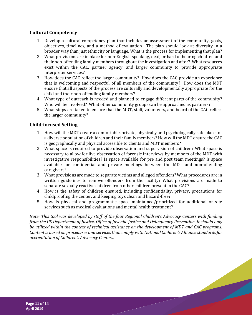## **Cultural Competency**

- 1. Develop a cultural competency plan that includes an assessment of the community, goals, objectives, timelines, and a method of evaluation. The plan should look at diversity in a broader way than just ethnicity or language. What is the process for implementing that plan?
- 2. What provisions are in place for non-English speaking, deaf, or hard of hearing children and their non-offending family members throughout the investigation and after? What resources exist within the CAC, partner agency, and larger community to provide appropriate interpreter services?
- 3. How does the CAC reflect the larger community? How does the CAC provide an experience that is welcoming and respectful of all members of the community? How does the MDT ensure that all aspects of the process are culturally and developmentally appropriate for the child and their non-offending family members?
- 4. What type of outreach is needed and planned to engage different parts of the community? Who will be involved? What other community groups can be approached as partners?
- 5. What steps are taken to ensure that the MDT, staff, volunteers, and board of the CAC reflect the larger community?

## **Child-focused Setting**

- 1. How will the MDT create a comfortable, private, physically and psychologically safe place for a diverse population of children and their family members? How will the MDT ensure the CAC is geographically and physical accessible to clients and MDT members?
- 2. What space is required to provide observation and supervision of children? What space is necessary to allow for live observation of forensic interviews by members of the MDT with investigative responsibilities? Is space available for pre and post team meetings? Is space available for confidential and private meetings between the MDT and non-offending caregivers?
- 3. What provisions are made to separate victims and alleged offenders? What procedures are in written guidelines to remove offenders from the facility? What provisions are made to separate sexually reactive children from other children present in the CAC?
- 4. How is the safety of children ensured, including confidentiality, privacy, precautions for childproofing the center, and keeping toys clean and hazard-free?
- 5. How is physical and programmatic space maintained/prioritized for additional on-site services such as medical evaluations and mental health treatment?

*Note: This tool was developed by staff of the four Regional Children's Advocacy Centers with funding from the US Department of Justice, Office of Juvenile Justice and Delinquency Prevention. It should only be utilized within the context of technical assistance on the development of MDT and CAC programs. Content is based on procedures and servicesthat comply with National Children's Alliance standards for accreditation of Children's Advocacy Centers.*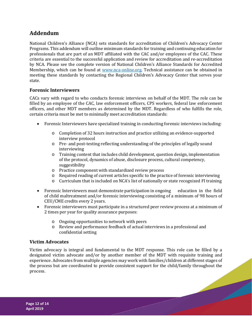# **Addendum**

National Children's Alliance (NCA) sets standards for accreditation of Children's Advocacy Center Programs. This addendum will outline minimum standards for training and continuing education for professionals that are part of an MDT affiliated with the CAC and/or employees of the CAC. These criteria are essential to the successful application and review for accreditation and re-accreditation by NCA. Please see the complete version of National Children's Alliance Standards for Accredited Membership, which can be found at [www.nca-online.org.](http://www.nca-online.org/) Technical assistance can be obtained in meeting these standards by contacting the Regional Children's Advocacy Center that serves your state.

## **Forensic Interviewers**

CACs vary with regard to who conducts forensic interviews on behalf of the MDT. The role can be filled by an employee of the CAC, law enforcement officers, CPS workers, federal law enforcement officers, and other MDT members as determined by the MDT. Regardless of who fulfills the role, certain criteria must be met to minimally meet accreditation standards:

- Forensic Interviewers have specialized training in conducting forensic interviews including:
	- o Completion of 32 hours instruction and practice utilizing an evidence-supported interview protocol
	- o Pre- and post-testing reflecting understanding of the principles of legally sound interviewing
	- o Training content that includes child development, question design, implementation of the protocol, dynamics of abuse, disclosure process, cultural competency, suggestibility
	- o Practice component with standardized review process
	- o Required reading of current articles specific to the practice of forensic interviewing
	- o Curriculum that is included on NCA's list of nationally or state recognized FI training
- Forensic Interviewers must demonstrate participation in ongoing education in the field of child maltreatment and/or forensic interviewing consisting of a minimum of 98 hours of CEU/CME credits every 2 years.
- Forensic interviewers must participate in a structured peer review process at a minimum of 2 times per year for quality assurance purposes:
	- o Ongoing opportunities to network with peers
	- o Review and performance feedback of actual interviews in a professional and confidential setting

#### **Victim Advocates**

Victim advocacy is integral and fundamental to the MDT response. This role can be filled by a designated victim advocate and/or by another member of the MDT with requisite training and experience. Advocates from multiple agencies may work with families/children at different stages of the process but are coordinated to provide consistent support for the child/family throughout the process.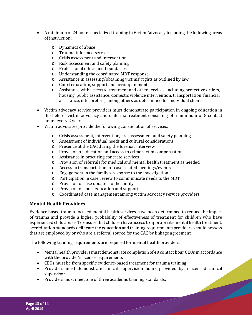- A minimum of 24 hours specialized training in Victim Advocacy including the following areas of instruction:
	- o Dynamics of abuse
	- o Trauma-informed services
	- o Crisis assessment and intervention
	- o Risk assessment and safety planning
	- o Professional ethics and boundaries
	- o Understanding the coordinated MDT response
	- o Assistance in assessing/obtaining victims' rights as outlined by law
	- o Court education, support and accompaniment
	- o Assistance with access to treatment and other services, including protective orders, housing, public assistance, domestic violence intervention, transportation, financial assistance, interpreters, among others as determined for individual clients
- Victim advocacy service providers must demonstrate participation in ongoing education in the field of victim advocacy and child maltreatment consisting of a minimum of 8 contact hours every 2 years.
- Victim advocates provide the following constellation of services:
	- o Crisis assessment, intervention, risk assessment and safety planning
	- o Assessment of individual needs and cultural considerations
	- o Presence at the CAC during the forensic interview
	- o Provision of education and access to crime victim compensation
	- o Assistance in procuring concrete services
	- o Provision of referrals for medical and mental health treatment as needed
	- o Access to transportation for case related meetings/events
	- o Engagement in the family's response to the investigation
	- o Participation in case review to communicate needs to the MDT
	- o Provision of case updates to the family
	- o Provision of court education and support
	- o Coordinated case management among victim advocacy service providers

## **Mental Health Providers**

Evidence based trauma-focused mental health services have been determined to reduce the impact of trauma and provide a higher probability of effectiveness of treatment for children who have experienced child abuse. To ensure that children have access to appropriate mental health treatment, accreditation standards delineate the education and training requirements providers should possess that are employed by or who are a referral source for the CAC by linkage agreement.

The following training requirements are required for mental health providers:

- Mental health providers must demonstrate completion of 40 contact hour CEUs in accordance with the provider's license requirements
- CEUs must be from specific evidence-based treatment for trauma training
- Providers must demonstrate clinical supervision hours provided by a licensed clinical supervisor
- Providers must meet one of three academic training standards: